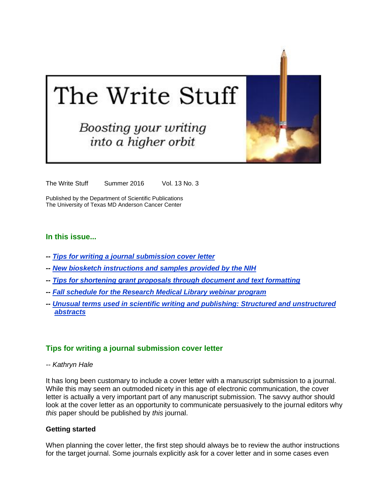# The Write Stuff

# **Boosting your writing** into a higher orbit

The Write Stuff Summer 2016 Vol. 13 No. 3

Published by the Department of Scientific Publications The University of Texas MD Anderson Cancer Center

## **In this issue...**

- *-- [Tips for writing a journal submission cover letter](#page-0-0)*
- *-- [New biosketch instructions and samples provided by the NIH](#page-2-0)*
- *-- [Tips for shortening grant proposals through document and text formatting](#page-3-0)*
- *-- Fall schedule for the [Research Medical Library webinar](#page-5-0) program*
- *-- Unusual [terms used in scientific writing and publishing: Structured and unstructured](#page-6-0)  [abstracts](#page-6-0)*

#### <span id="page-0-0"></span>**Tips for writing a journal submission cover letter**

*-- Kathryn Hale*

It has long been customary to include a cover letter with a manuscript submission to a journal. While this may seem an outmoded nicety in this age of electronic communication, the cover letter is actually a very important part of any manuscript submission. The savvy author should look at the cover letter as an opportunity to communicate persuasively to the journal editors why *this* paper should be published by *this* journal.

#### **Getting started**

When planning the cover letter, the first step should always be to review the author instructions for the target journal. Some journals explicitly ask for a cover letter and in some cases even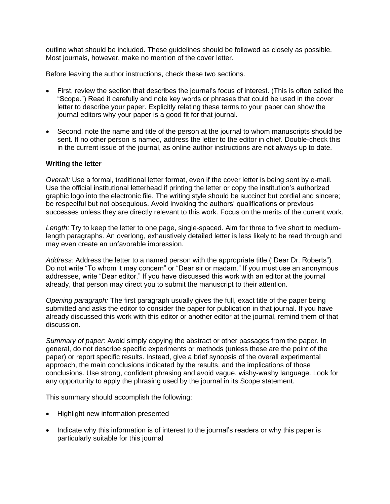outline what should be included. These guidelines should be followed as closely as possible. Most journals, however, make no mention of the cover letter.

Before leaving the author instructions, check these two sections.

- First, review the section that describes the journal's focus of interest. (This is often called the "Scope.") Read it carefully and note key words or phrases that could be used in the cover letter to describe your paper. Explicitly relating these terms to your paper can show the journal editors why your paper is a good fit for that journal.
- Second, note the name and title of the person at the journal to whom manuscripts should be sent. If no other person is named, address the letter to the editor in chief. Double-check this in the current issue of the journal, as online author instructions are not always up to date.

#### **Writing the letter**

*Overall:* Use a formal, traditional letter format, even if the cover letter is being sent by e-mail. Use the official institutional letterhead if printing the letter or copy the institution's authorized graphic logo into the electronic file. The writing style should be succinct but cordial and sincere; be respectful but not obsequious. Avoid invoking the authors' qualifications or previous successes unless they are directly relevant to this work. Focus on the merits of the current work.

*Length:* Try to keep the letter to one page, single-spaced. Aim for three to five short to mediumlength paragraphs. An overlong, exhaustively detailed letter is less likely to be read through and may even create an unfavorable impression.

*Address:* Address the letter to a named person with the appropriate title ("Dear Dr. Roberts"). Do not write "To whom it may concern" or "Dear sir or madam." If you must use an anonymous addressee, write "Dear editor." If you have discussed this work with an editor at the journal already, that person may direct you to submit the manuscript to their attention.

*Opening paragraph:* The first paragraph usually gives the full, exact title of the paper being submitted and asks the editor to consider the paper for publication in that journal. If you have already discussed this work with this editor or another editor at the journal, remind them of that discussion.

*Summary of paper:* Avoid simply copying the abstract or other passages from the paper. In general, do not describe specific experiments or methods (unless these are the point of the paper) or report specific results. Instead, give a brief synopsis of the overall experimental approach, the main conclusions indicated by the results, and the implications of those conclusions. Use strong, confident phrasing and avoid vague, wishy-washy language. Look for any opportunity to apply the phrasing used by the journal in its Scope statement.

This summary should accomplish the following:

- Highlight new information presented
- Indicate why this information is of interest to the journal's readers or why this paper is particularly suitable for this journal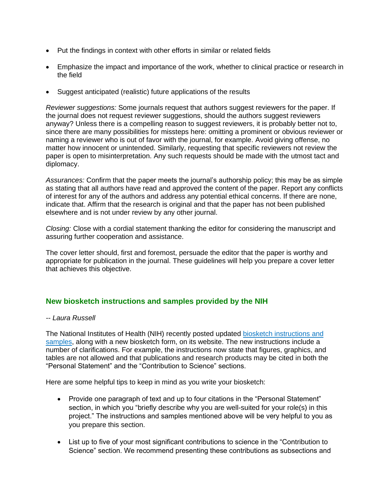- Put the findings in context with other efforts in similar or related fields
- Emphasize the impact and importance of the work, whether to clinical practice or research in the field
- Suggest anticipated (realistic) future applications of the results

*Reviewer suggestions:* Some journals request that authors suggest reviewers for the paper. If the journal does not request reviewer suggestions, should the authors suggest reviewers anyway? Unless there is a compelling reason to suggest reviewers, it is probably better not to, since there are many possibilities for missteps here: omitting a prominent or obvious reviewer or naming a reviewer who is out of favor with the journal, for example. Avoid giving offense, no matter how innocent or unintended. Similarly, requesting that specific reviewers not review the paper is open to misinterpretation. Any such requests should be made with the utmost tact and diplomacy.

*Assurances:* Confirm that the paper meets the journal's authorship policy; this may be as simple as stating that all authors have read and approved the content of the paper. Report any conflicts of interest for any of the authors and address any potential ethical concerns. If there are none, indicate that. Affirm that the research is original and that the paper has not been published elsewhere and is not under review by any other journal.

*Closing:* Close with a cordial statement thanking the editor for considering the manuscript and assuring further cooperation and assistance.

The cover letter should, first and foremost, persuade the editor that the paper is worthy and appropriate for publication in the journal. These guidelines will help you prepare a cover letter that achieves this objective.

# <span id="page-2-0"></span>**New biosketch instructions and samples provided by the NIH**

#### *-- Laura Russell*

The National Institutes of Health (NIH) recently posted updated [biosketch instructions and](http://grants.nih.gov/grants/forms/biosketch.htm)  [samples,](http://grants.nih.gov/grants/forms/biosketch.htm) along with a new biosketch form, on its website. The new instructions include a number of clarifications. For example, the instructions now state that figures, graphics, and tables are not allowed and that publications and research products may be cited in both the "Personal Statement" and the "Contribution to Science" sections.

Here are some helpful tips to keep in mind as you write your biosketch:

- Provide one paragraph of text and up to four citations in the "Personal Statement" section, in which you "briefly describe why you are well-suited for your role(s) in this project." The instructions and samples mentioned above will be very helpful to you as you prepare this section.
- List up to five of your most significant contributions to science in the "Contribution to Science" section. We recommend presenting these contributions as subsections and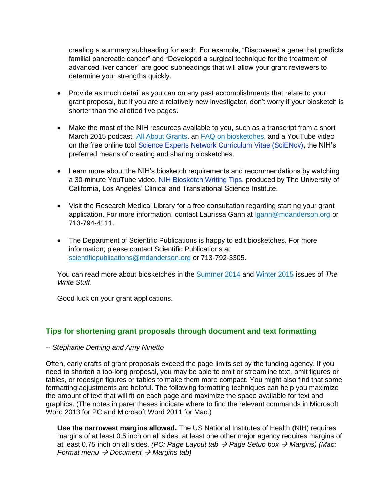creating a summary subheading for each. For example, "Discovered a gene that predicts familial pancreatic cancer" and "Developed a surgical technique for the treatment of advanced liver cancer" are good subheadings that will allow your grant reviewers to determine your strengths quickly.

- Provide as much detail as you can on any past accomplishments that relate to your grant proposal, but if you are a relatively new investigator, don't worry if your biosketch is shorter than the allotted five pages.
- Make the most of the NIH resources available to you, such as a transcript from a short March 2015 podcast, [All About Grants,](http://grants.nih.gov/podcasts/All_About_Grants/episodes/Biosketches_March_2015.htm) an [FAQ on biosketches,](http://grants.nih.gov/grants/policy/faq_biosketches.htm) and a YouTube video on the free online tool [Science Experts Network Curriculum Vitae \(SciENcv\),](https://www.youtube.com/watch?v=PRWy-3GXhtU&feature=youtu.be) the NIH's preferred means of creating and sharing biosketches.
- Learn more about the NIH's biosketch requirements and recommendations by watching a 30-minute YouTube video, [NIH Biosketch Writing Tips,](https://www.youtube.com/watch?v=V5Vew5x1Mm0) produced by The University of California, Los Angeles' Clinical and Translational Science Institute.
- Visit the Research Medical Library for a free consultation regarding starting your grant application. For more information, contact Laurissa Gann at [lgann@mdanderson.org](mailto:lgann@mdanderson.org) or 713-794-4111.
- The Department of Scientific Publications is happy to edit biosketches. For more information, please contact Scientific Publications at [scientificpublications@mdanderson.org](mailto:scientificpublications@mdanderson.org) or 713-792-3305.

You can read more about biosketches in the [Summer 2014](http://inside.mdanderson.org/departments/scipub/summer-2014.html) and [Winter 2015](http://inside.mdanderson.org/departments/scipub/2015---winter-issue-vol-12-no-1-.pdf) issues of *The Write Stuff*.

Good luck on your grant applications.

# <span id="page-3-0"></span>**Tips for shortening grant proposals through document and text formatting**

*-- Stephanie Deming and Amy Ninetto*

Often, early drafts of grant proposals exceed the page limits set by the funding agency. If you need to shorten a too-long proposal, you may be able to omit or streamline text, omit figures or tables, or redesign figures or tables to make them more compact. You might also find that some formatting adjustments are helpful. The following formatting techniques can help you maximize the amount of text that will fit on each page and maximize the space available for text and graphics. (The notes in parentheses indicate where to find the relevant commands in Microsoft Word 2013 for PC and Microsoft Word 2011 for Mac.)

**Use the narrowest margins allowed.** The US National Institutes of Health (NIH) requires margins of at least 0.5 inch on all sides; at least one other major agency requires margins of at least 0.75 inch on all sides. *(PC: Page Layout tab* → *Page Setup box* → *Margins) (Mac: Format menu → Document → Margins tab)*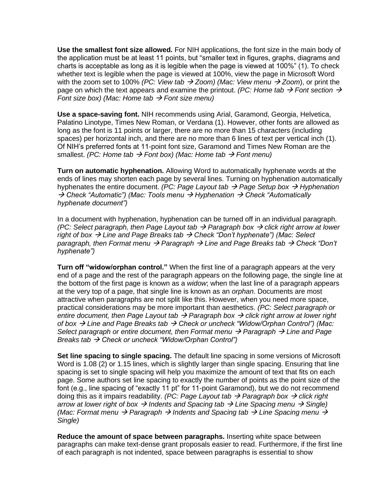**Use the smallest font size allowed.** For NIH applications, the font size in the main body of the application must be at least 11 points, but "smaller text in figures, graphs, diagrams and charts is acceptable as long as it is legible when the page is viewed at 100%" (1). To check whether text is legible when the page is viewed at 100%, view the page in Microsoft Word with the zoom set to 100% *(PC: View tab* → *Zoom) (Mac: View menu* → *Zoom*), or print the page on which the text appears and examine the printout. *(PC: Home tab*  $\rightarrow$  *Font section*  $\rightarrow$ *Font size box) (Mac: Home tab → Font size menu)* 

**Use a space-saving font.** NIH recommends using Arial, Garamond, Georgia, Helvetica, Palatino Linotype, Times New Roman, or Verdana (1). However, other fonts are allowed as long as the font is 11 points or larger, there are no more than 15 characters (including spaces) per horizontal inch, and there are no more than 6 lines of text per vertical inch (1). Of NIH's preferred fonts at 11-point font size, Garamond and Times New Roman are the smallest. *(PC: Home tab* → *Font box) (Mac: Home tab* → *Font menu)*

**Turn on automatic hyphenation.** Allowing Word to automatically hyphenate words at the ends of lines may shorten each page by several lines. Turning on hyphenation automatically hyphenates the entire document. *(PC: Page Layout tab* → *Page Setup box* → *Hyphenation*  → *Check "Automatic") (Mac: Tools menu* → *Hyphenation* → *Check "Automatically hyphenate document")*

In a document with hyphenation, hyphenation can be turned off in an individual paragraph. *(PC: Select paragraph, then Page Layout tab → Paragraph box → click right arrow at lower right of box* → *Line and Page Breaks tab* → *Check "Don't hyphenate") (Mac: Select paragraph, then Format menu* → *Paragraph* → *Line and Page Breaks tab* → *Check "Don't hyphenate")*

**Turn off "widow/orphan control."** When the first line of a paragraph appears at the very end of a page and the rest of the paragraph appears on the following page, the single line at the bottom of the first page is known as a *widow*; when the last line of a paragraph appears at the very top of a page, that single line is known as an *orphan*. Documents are most attractive when paragraphs are not split like this. However, when you need more space, practical considerations may be more important than aesthetics. *(PC: Select paragraph or entire document, then Page Layout tab* → *Paragraph box* → *click right arrow at lower right of box* → *Line and Page Breaks tab* → *Check or uncheck "Widow/Orphan Control") (Mac: Select paragraph or entire document, then Format menu → Paragraph → Line and Page Breaks tab → Check or uncheck "Widow/Orphan Control")* 

**Set line spacing to single spacing.** The default line spacing in some versions of Microsoft Word is 1.08 (2) or 1.15 lines, which is slightly larger than single spacing. Ensuring that line spacing is set to single spacing will help you maximize the amount of text that fits on each page. Some authors set line spacing to exactly the number of points as the point size of the font (e.g., line spacing of "exactly 11 pt" for 11-point Garamond), but we do not recommend doing this as it impairs readability. *(PC: Page Layout tab* → *Paragraph box* → *click right arrow at lower right of box* → *Indents and Spacing tab* → *Line Spacing menu* → *Single) (Mac: Format menu* → *Paragraph* → *Indents and Spacing tab* → *Line Spacing menu* → *Single)*

**Reduce the amount of space between paragraphs.** Inserting white space between paragraphs can make text-dense grant proposals easier to read. Furthermore, if the first line of each paragraph is not indented, space between paragraphs is essential to show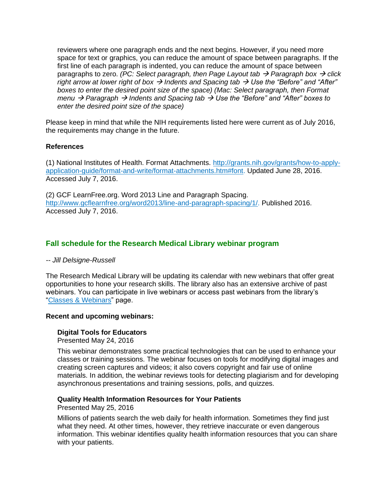reviewers where one paragraph ends and the next begins. However, if you need more space for text or graphics, you can reduce the amount of space between paragraphs. If the first line of each paragraph is indented, you can reduce the amount of space between paragraphs to zero. *(PC: Select paragraph, then Page Layout tab → Paragraph box → click right arrow at lower right of box* → *Indents and Spacing tab* → *Use the "Before" and "After" boxes to enter the desired point size of the space) (Mac: Select paragraph, then Format menu* → *Paragraph* → *Indents and Spacing tab* → *Use the "Before" and "After" boxes to enter the desired point size of the space)*

Please keep in mind that while the NIH requirements listed here were current as of July 2016, the requirements may change in the future.

#### **References**

(1) National Institutes of Health. Format Attachments. [http://grants.nih.gov/grants/how-to-apply](http://grants.nih.gov/grants/how-to-apply-application-guide/format-and-write/format-attachments.htm#font)[application-guide/format-and-write/format-attachments.htm#font.](http://grants.nih.gov/grants/how-to-apply-application-guide/format-and-write/format-attachments.htm#font) Updated June 28, 2016. Accessed July 7, 2016.

(2) GCF LearnFree.org. Word 2013 Line and Paragraph Spacing. [http://www.gcflearnfree.org/word2013/line-and-paragraph-spacing/1/.](http://www.gcflearnfree.org/word2013/line-and-paragraph-spacing/1/) Published 2016. Accessed July 7, 2016.

# <span id="page-5-0"></span>**Fall schedule for the Research Medical Library webinar program**

#### *-- Jill Delsigne-Russell*

The Research Medical Library will be updating its calendar with new webinars that offer great opportunities to hone your research skills. The library also has an extensive archive of past webinars. You can participate in live webinars or access past webinars from the library's ["Classes & Webinars"](http://www3.mdanderson.org/library/education/webinars.html) page.

#### **Recent and upcoming webinars:**

#### **Digital Tools for Educators**

Presented May 24, 2016

This webinar demonstrates some practical technologies that can be used to enhance your classes or training sessions. The webinar focuses on tools for modifying digital images and creating screen captures and videos; it also covers copyright and fair use of online materials. In addition, the webinar reviews tools for detecting plagiarism and for developing asynchronous presentations and training sessions, polls, and quizzes.

#### **Quality Health Information Resources for Your Patients**

Presented May 25, 2016

Millions of patients search the web daily for health information. Sometimes they find just what they need. At other times, however, they retrieve inaccurate or even dangerous information. This webinar identifies quality health information resources that you can share with your patients.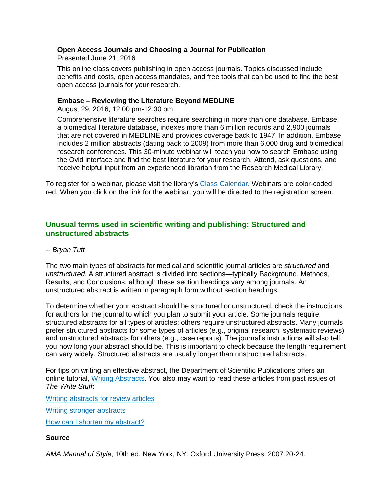## **Open Access Journals and Choosing a Journal for Publication**

Presented June 21, 2016

This online class covers publishing in open access journals. Topics discussed include benefits and costs, open access mandates, and free tools that can be used to find the best open access journals for your research.

#### **Embase – Reviewing the Literature Beyond MEDLINE**

August 29, 2016, 12:00 pm-12:30 pm

Comprehensive literature searches require searching in more than one database. Embase, a biomedical literature database, indexes more than 6 million records and 2,900 journals that are not covered in MEDLINE and provides coverage back to 1947. In addition, Embase includes 2 million abstracts (dating back to 2009) from more than 6,000 drug and biomedical research conferences. This 30-minute webinar will teach you how to search Embase using the Ovid interface and find the best literature for your research. Attend, ask questions, and receive helpful input from an experienced librarian from the Research Medical Library.

To register for a webinar, please visit the library's [Class Calendar.](http://www3.mdanderson.org/library/education/index.html) Webinars are color-coded red. When you click on the link for the webinar, you will be directed to the registration screen.

# <span id="page-6-0"></span>**Unusual terms used in scientific writing and publishing: Structured and unstructured abstracts**

#### *-- Bryan Tutt*

The two main types of abstracts for medical and scientific journal articles are *structured* and *unstructured*. A structured abstract is divided into sections—typically Background, Methods, Results, and Conclusions, although these section headings vary among journals. An unstructured abstract is written in paragraph form without section headings.

To determine whether your abstract should be structured or unstructured, check the instructions for authors for the journal to which you plan to submit your article. Some journals require structured abstracts for all types of articles; others require unstructured abstracts. Many journals prefer structured abstracts for some types of articles (e.g., original research, systematic reviews) and unstructured abstracts for others (e.g., case reports). The journal's instructions will also tell you how long your abstract should be. This is important to check because the length requirement can vary widely. Structured abstracts are usually longer than unstructured abstracts.

For tips on writing an effective abstract, the Department of Scientific Publications offers an online tutorial, [Writing Abstracts.](http://inside.mdanderson.org/resources/static/departments/scientific-publications/abstracts-lesson/) You also may want to read these articles from past issues of *The Write Stuff*:

[Writing abstracts for review articles](http://inside.mdanderson.org/departments/scipub/2015---autumn-issue-vol-12-no-4-.pdf)

[Writing stronger abstracts](http://inside.mdanderson.org/departments/scipub/spring-2009.html#abstracts)

[How can I shorten my abstract?](http://inside.mdanderson.org/departments/scipub/spring-2008.html#shorten)

#### **Source**

*AMA Manual of Style*, 10th ed. New York, NY: Oxford University Press; 2007:20-24.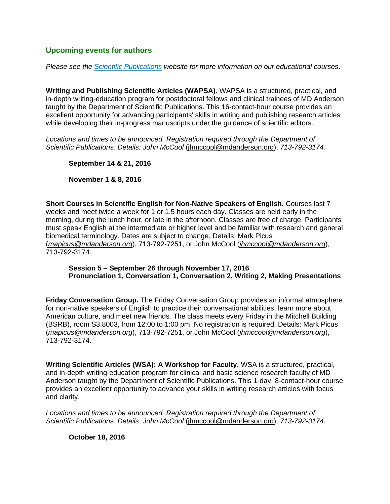# **Upcoming events for authors**

*Please see the [Scientific Publications](http://inside.mdanderson.org/departments/scipub/index.html) website for more information on our educational courses*.

**Writing and Publishing Scientific Articles (WAPSA).** WAPSA is a structured, practical, and in-depth writing-education program for postdoctoral fellows and clinical trainees of MD Anderson taught by the Department of Scientific Publications. This 16-contact-hour course provides an excellent opportunity for advancing participants' skills in writing and publishing research articles while developing their in-progress manuscripts under the guidance of scientific editors.

Locations and times to be announced. Registration required through the Department of *Scientific Publications. Details: John McCool* [\(jhmccool@mdanderson.org\)](mailto:jhmccool@mdanderson.org), *713-792-3174.*

**September 14 & 21, 2016**

**November 1 & 8, 2016**

**Short Courses in Scientific English for Non-Native Speakers of English.** Courses last 7 weeks and meet twice a week for 1 or 1.5 hours each day. Classes are held early in the morning, during the lunch hour, or late in the afternoon. Classes are free of charge. Participants must speak English at the intermediate or higher level and be familiar with research and general biomedical terminology. Dates are subject to change. Details: Mark Picus (*mapicus@mdanderson.org*), 713-792-7251, or John McCool (*jhmccool@mdanderson.org*), 713-792-3174.

#### **Session 5 – September 26 through November 17, 2016 Pronunciation 1, Conversation 1, Conversation 2, Writing 2, Making Presentations**

**Friday Conversation Group.** The Friday Conversation Group provides an informal atmosphere for non-native speakers of English to practice their conversational abilities, learn more about American culture, and meet new friends. The class meets every Friday in the Mitchell Building (BSRB), room S3.8003, from 12:00 to 1:00 pm. No registration is required. Details: Mark Picus (*mapicus@mdanderson.org*), 713-792-7251, or John McCool (*jhmccool@mdanderson.org*), 713-792-3174.

**Writing Scientific Articles (WSA): A Workshop for Faculty.** WSA is a structured, practical, and in-depth writing-education program for clinical and basic science research faculty of MD Anderson taught by the Department of Scientific Publications. This 1-day, 8-contact-hour course provides an excellent opportunity to advance your skills in writing research articles with focus and clarity.

*Locations and times to be announced. Registration required through the Department of Scientific Publications. Details: John McCool* [\(jhmccool@mdanderson.org\)](mailto:jhmccool@mdanderson.org), *713-792-3174.*

**October 18, 2016**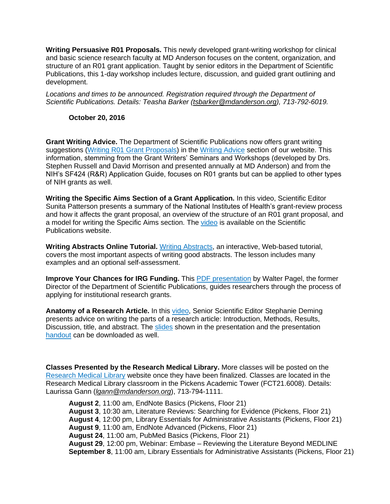**Writing Persuasive R01 Proposals.** This newly developed grant-writing workshop for clinical and basic science research faculty at MD Anderson focuses on the content, organization, and structure of an R01 grant application. Taught by senior editors in the Department of Scientific Publications, this 1-day workshop includes lecture, discussion, and guided grant outlining and development.

*Locations and times to be announced. Registration required through the Department of Scientific Publications. Details: Teasha Barker [\(tsbarker@mdanderson.org\)](https://mailbox.mdanderson.org/owa/redir.aspx?C=G2OENoG8BkiiROCuVh7c6QjZUyq34NIIBoS9YdS2Tp5ewCItkK1KF7zzufGsQQXp7_Tjd1s3bP0.&URL=mailto%3atsbarker%40mdanderson.org), 713-792-6019.*

#### **October 20, 2016**

**Grant Writing Advice.** The Department of Scientific Publications now offers grant writing suggestions [\(Writing R01 Grant Proposals\)](http://inside.mdanderson.org/departments/scipub/writing-r01-grant-proposals.html) in the [Writing Advice](http://inside.mdanderson.org/departments/scipub/writing-advice.html) section of our website. This information, stemming from the Grant Writers' Seminars and Workshops (developed by Drs. Stephen Russell and David Morrison and presented annually at MD Anderson) and from the NIH's SF424 (R&R) Application Guide, focuses on R01 grants but can be applied to other types of NIH grants as well.

**Writing the Specific Aims Section of a Grant Application.** In this video, Scientific Editor Sunita Patterson presents a summary of the National Institutes of Health's grant-review process and how it affects the grant proposal, an overview of the structure of an R01 grant proposal, and a model for writing the Specific Aims section. The [video](http://inside3.mdanderson.org/streams/FullVideoPlayer.cfm?mediaID=AE990E55-B87E-47E8-8D76-9D195834AE53) is available on the Scientific Publications website.

**Writing Abstracts Online Tutorial.** Writing [Abstracts,](http://inside.mdanderson.org/resources/static/departments/scientific-publications/abstracts-lesson/) an interactive, Web-based tutorial, covers the most important aspects of writing good abstracts. The lesson includes many examples and an optional self-assessment.

**Improve Your Chances for IRG Funding.** This [PDF presentation](http://inside.mdanderson.org/departments/scipub/files/irg-presentationweb.pdf) by Walter Pagel, the former Director of the Department of Scientific Publications, guides researchers through the process of applying for institutional research grants.

Anatomy of a Research Article. In this [video,](http://inside3.mdanderson.org/streams/FullVideoPlayer.cfm?xml=cfg%2FResearch-Article-Anatomy-2012) Senior Scientific Editor Stephanie Deming presents advice on writing the parts of a research article: Introduction, Methods, Results, Discussion, title, and abstract. The [slides](http://inside.mdanderson.org/departments/scipub/anatomy-of-a-research-article-writing-week-2012-handout.pdf) shown in the presentation and the presentation [handout](http://inside.mdanderson.org/departments/scipub/methods-section-handout.pdf) can be downloaded as well.

**Classes Presented by the Research Medical Library.** More classes will be posted on the [Research Medical Library](http://www3.mdanderson.org/library/) website once they have been finalized. Classes are located in the Research Medical Library classroom in the Pickens Academic Tower (FCT21.6008). Details: Laurissa Gann (*lgann@mdanderson.org*), 713-794-1111.

**August 2**, 11:00 am, EndNote Basics (Pickens, Floor 21) **August 3**, 10:30 am, Literature Reviews: Searching for Evidence (Pickens, Floor 21) **August 4**, 12:00 pm, Library Essentials for Administrative Assistants (Pickens, Floor 21) **August 9**, 11:00 am, EndNote Advanced (Pickens, Floor 21) **August 24**, 11:00 am, PubMed Basics (Pickens, Floor 21) **August 29**, 12:00 pm, Webinar: Embase – Reviewing the Literature Beyond MEDLINE **September 8**, 11:00 am, Library Essentials for Administrative Assistants (Pickens, Floor 21)